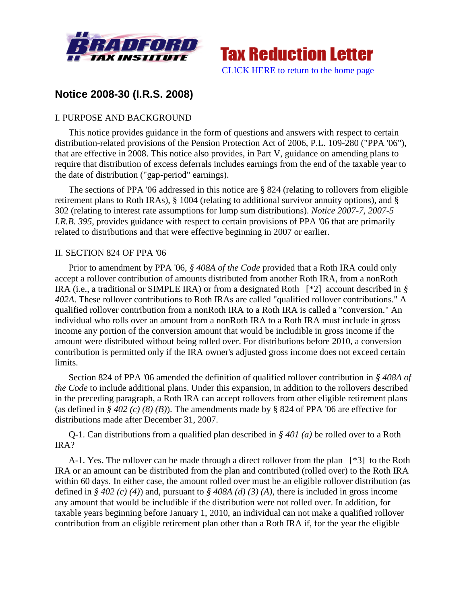



# **Notice 2008-30 (I.R.S. 2008)**

## I. PURPOSE AND BACKGROUND

This notice provides guidance in the form of questions and answers with respect to certain distribution-related provisions of the Pension Protection Act of 2006, P.L. 109-280 ("PPA '06"), that are effective in 2008. This notice also provides, in Part V, guidance on amending plans to require that distribution of excess deferrals includes earnings from the end of the taxable year to the date of distribution ("gap-period" earnings).

The sections of PPA '06 addressed in this notice are § 824 (relating to rollovers from eligible retirement plans to Roth IRAs), § 1004 (relating to additional survivor annuity options), and § 302 (relating to interest rate assumptions for lump sum distributions). *Notice 2007-7, 2007-5 I.R.B. 395*, provides guidance with respect to certain provisions of PPA '06 that are primarily related to distributions and that were effective beginning in 2007 or earlier.

### II. SECTION 824 OF PPA '06

Prior to amendment by PPA '06, *§ 408A of the Code* provided that a Roth IRA could only accept a rollover contribution of amounts distributed from another Roth IRA, from a nonRoth IRA (i.e., a traditional or SIMPLE IRA) or from a designated Roth [\*2] account described in *§ 402A*. These rollover contributions to Roth IRAs are called "qualified rollover contributions." A qualified rollover contribution from a nonRoth IRA to a Roth IRA is called a "conversion." An individual who rolls over an amount from a nonRoth IRA to a Roth IRA must include in gross income any portion of the conversion amount that would be includible in gross income if the amount were distributed without being rolled over. For distributions before 2010, a conversion contribution is permitted only if the IRA owner's adjusted gross income does not exceed certain limits.

Section 824 of PPA '06 amended the definition of qualified rollover contribution in *§ 408A of the Code* to include additional plans. Under this expansion, in addition to the rollovers described in the preceding paragraph, a Roth IRA can accept rollovers from other eligible retirement plans (as defined in *§ 402 (c) (8) (B)*). The amendments made by § 824 of PPA '06 are effective for distributions made after December 31, 2007.

Q-1. Can distributions from a qualified plan described in *§ 401 (a)* be rolled over to a Roth IRA?

A-1. Yes. The rollover can be made through a direct rollover from the plan [\*3] to the Roth IRA or an amount can be distributed from the plan and contributed (rolled over) to the Roth IRA within 60 days. In either case, the amount rolled over must be an eligible rollover distribution (as defined in *§ 402 (c) (4)*) and, pursuant to *§ 408A (d) (3) (A)*, there is included in gross income any amount that would be includible if the distribution were not rolled over. In addition, for taxable years beginning before January 1, 2010, an individual can not make a qualified rollover contribution from an eligible retirement plan other than a Roth IRA if, for the year the eligible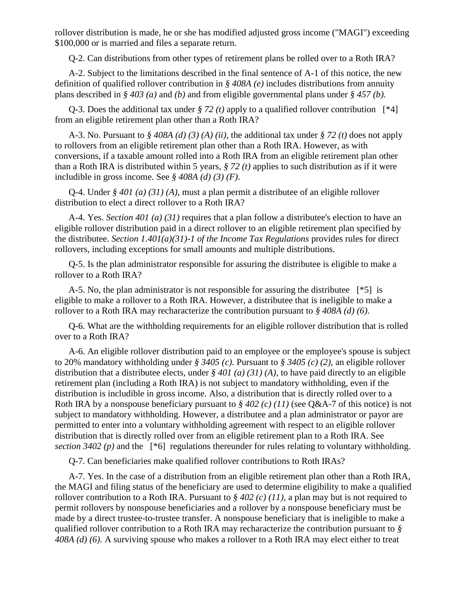rollover distribution is made, he or she has modified adjusted gross income ("MAGI") exceeding \$100,000 or is married and files a separate return.

Q-2. Can distributions from other types of retirement plans be rolled over to a Roth IRA?

A-2. Subject to the limitations described in the final sentence of A-1 of this notice, the new definition of qualified rollover contribution in *§ 408A (e)* includes distributions from annuity plans described in *§ 403 (a)* and *(b)* and from eligible governmental plans under *§ 457 (b)*.

Q-3. Does the additional tax under *§ 72 (t)* apply to a qualified rollover contribution [\*4] from an eligible retirement plan other than a Roth IRA?

A-3. No. Pursuant to *§ 408A (d) (3) (A) (ii)*, the additional tax under *§ 72 (t)* does not apply to rollovers from an eligible retirement plan other than a Roth IRA. However, as with conversions, if a taxable amount rolled into a Roth IRA from an eligible retirement plan other than a Roth IRA is distributed within 5 years, *§ 72 (t)* applies to such distribution as if it were includible in gross income. See *§ 408A (d) (3) (F)*.

Q-4. Under *§ 401 (a) (31) (A)*, must a plan permit a distributee of an eligible rollover distribution to elect a direct rollover to a Roth IRA?

A-4. Yes. *Section 401 (a) (31)* requires that a plan follow a distributee's election to have an eligible rollover distribution paid in a direct rollover to an eligible retirement plan specified by the distributee. *Section 1.401(a)(31)-1 of the Income Tax Regulations* provides rules for direct rollovers, including exceptions for small amounts and multiple distributions.

Q-5. Is the plan administrator responsible for assuring the distributee is eligible to make a rollover to a Roth IRA?

A-5. No, the plan administrator is not responsible for assuring the distributee [\*5] is eligible to make a rollover to a Roth IRA. However, a distributee that is ineligible to make a rollover to a Roth IRA may recharacterize the contribution pursuant to *§ 408A (d) (6)*.

Q-6. What are the withholding requirements for an eligible rollover distribution that is rolled over to a Roth IRA?

A-6. An eligible rollover distribution paid to an employee or the employee's spouse is subject to 20% mandatory withholding under *§ 3405 (c)*. Pursuant to *§ 3405 (c) (2)*, an eligible rollover distribution that a distributee elects, under *§ 401 (a) (31) (A)*, to have paid directly to an eligible retirement plan (including a Roth IRA) is not subject to mandatory withholding, even if the distribution is includible in gross income. Also, a distribution that is directly rolled over to a Roth IRA by a nonspouse beneficiary pursuant to *§ 402 (c) (11)* (see Q&A-7 of this notice) is not subject to mandatory withholding. However, a distributee and a plan administrator or payor are permitted to enter into a voluntary withholding agreement with respect to an eligible rollover distribution that is directly rolled over from an eligible retirement plan to a Roth IRA. See *section 3402 (p)* and the [\*6] regulations thereunder for rules relating to voluntary withholding.

Q-7. Can beneficiaries make qualified rollover contributions to Roth IRAs?

A-7. Yes. In the case of a distribution from an eligible retirement plan other than a Roth IRA, the MAGI and filing status of the beneficiary are used to determine eligibility to make a qualified rollover contribution to a Roth IRA. Pursuant to *§ 402 (c) (11)*, a plan may but is not required to permit rollovers by nonspouse beneficiaries and a rollover by a nonspouse beneficiary must be made by a direct trustee-to-trustee transfer. A nonspouse beneficiary that is ineligible to make a qualified rollover contribution to a Roth IRA may recharacterize the contribution pursuant to *§ 408A (d) (6)*. A surviving spouse who makes a rollover to a Roth IRA may elect either to treat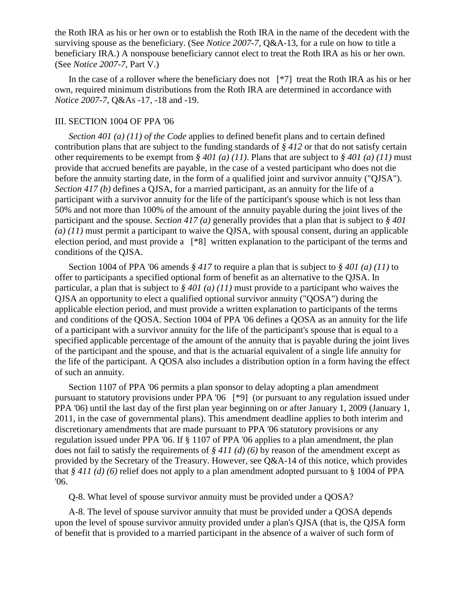the Roth IRA as his or her own or to establish the Roth IRA in the name of the decedent with the surviving spouse as the beneficiary. (See *Notice 2007-7*, Q&A-13, for a rule on how to title a beneficiary IRA.) A nonspouse beneficiary cannot elect to treat the Roth IRA as his or her own. (See *Notice 2007-7*, Part V.)

In the case of a rollover where the beneficiary does not [\*7] treat the Roth IRA as his or her own, required minimum distributions from the Roth IRA are determined in accordance with *Notice 2007-7*, Q&As -17, -18 and -19.

#### III. SECTION 1004 OF PPA '06

*Section 401 (a) (11) of the Code* applies to defined benefit plans and to certain defined contribution plans that are subject to the funding standards of *§ 412* or that do not satisfy certain other requirements to be exempt from *§ 401 (a) (11)*. Plans that are subject to *§ 401 (a) (11)* must provide that accrued benefits are payable, in the case of a vested participant who does not die before the annuity starting date, in the form of a qualified joint and survivor annuity ("QJSA"). *Section 417 (b)* defines a QJSA, for a married participant, as an annuity for the life of a participant with a survivor annuity for the life of the participant's spouse which is not less than 50% and not more than 100% of the amount of the annuity payable during the joint lives of the participant and the spouse. *Section 417 (a)* generally provides that a plan that is subject to *§ 401 (a) (11)* must permit a participant to waive the QJSA, with spousal consent, during an applicable election period, and must provide a [\*8] written explanation to the participant of the terms and conditions of the QJSA.

Section 1004 of PPA '06 amends *§ 417* to require a plan that is subject to *§ 401 (a) (11)* to offer to participants a specified optional form of benefit as an alternative to the QJSA. In particular, a plan that is subject to *§ 401 (a) (11)* must provide to a participant who waives the QJSA an opportunity to elect a qualified optional survivor annuity ("QOSA") during the applicable election period, and must provide a written explanation to participants of the terms and conditions of the QOSA. Section 1004 of PPA '06 defines a QOSA as an annuity for the life of a participant with a survivor annuity for the life of the participant's spouse that is equal to a specified applicable percentage of the amount of the annuity that is payable during the joint lives of the participant and the spouse, and that is the actuarial equivalent of a single life annuity for the life of the participant. A QOSA also includes a distribution option in a form having the effect of such an annuity.

Section 1107 of PPA '06 permits a plan sponsor to delay adopting a plan amendment pursuant to statutory provisions under PPA '06 [\*9] (or pursuant to any regulation issued under PPA '06) until the last day of the first plan year beginning on or after January 1, 2009 (January 1, 2011, in the case of governmental plans). This amendment deadline applies to both interim and discretionary amendments that are made pursuant to PPA '06 statutory provisions or any regulation issued under PPA '06. If § 1107 of PPA '06 applies to a plan amendment, the plan does not fail to satisfy the requirements of *§ 411 (d) (6)* by reason of the amendment except as provided by the Secretary of the Treasury. However, see Q&A-14 of this notice, which provides that *§ 411 (d) (6)* relief does not apply to a plan amendment adopted pursuant to § 1004 of PPA '06.

Q-8. What level of spouse survivor annuity must be provided under a QOSA?

A-8. The level of spouse survivor annuity that must be provided under a QOSA depends upon the level of spouse survivor annuity provided under a plan's QJSA (that is, the QJSA form of benefit that is provided to a married participant in the absence of a waiver of such form of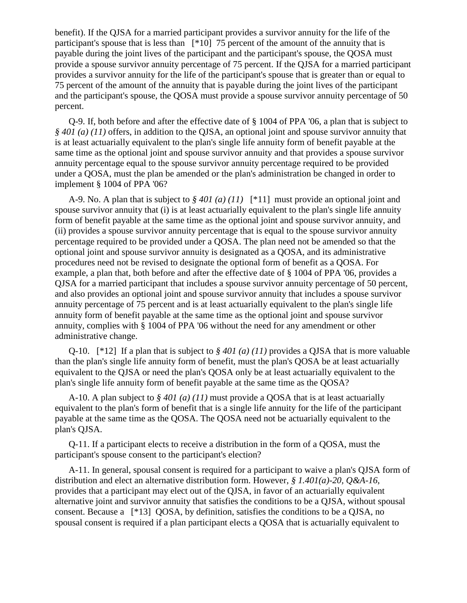benefit). If the QJSA for a married participant provides a survivor annuity for the life of the participant's spouse that is less than [\*10] 75 percent of the amount of the annuity that is payable during the joint lives of the participant and the participant's spouse, the QOSA must provide a spouse survivor annuity percentage of 75 percent. If the QJSA for a married participant provides a survivor annuity for the life of the participant's spouse that is greater than or equal to 75 percent of the amount of the annuity that is payable during the joint lives of the participant and the participant's spouse, the QOSA must provide a spouse survivor annuity percentage of 50 percent.

Q-9. If, both before and after the effective date of § 1004 of PPA '06, a plan that is subject to *§ 401 (a) (11)* offers, in addition to the QJSA, an optional joint and spouse survivor annuity that is at least actuarially equivalent to the plan's single life annuity form of benefit payable at the same time as the optional joint and spouse survivor annuity and that provides a spouse survivor annuity percentage equal to the spouse survivor annuity percentage required to be provided under a QOSA, must the plan be amended or the plan's administration be changed in order to implement § 1004 of PPA '06?

A-9. No. A plan that is subject to *§ 401 (a) (11)* [\*11] must provide an optional joint and spouse survivor annuity that (i) is at least actuarially equivalent to the plan's single life annuity form of benefit payable at the same time as the optional joint and spouse survivor annuity, and (ii) provides a spouse survivor annuity percentage that is equal to the spouse survivor annuity percentage required to be provided under a QOSA. The plan need not be amended so that the optional joint and spouse survivor annuity is designated as a QOSA, and its administrative procedures need not be revised to designate the optional form of benefit as a QOSA. For example, a plan that, both before and after the effective date of § 1004 of PPA '06, provides a QJSA for a married participant that includes a spouse survivor annuity percentage of 50 percent, and also provides an optional joint and spouse survivor annuity that includes a spouse survivor annuity percentage of 75 percent and is at least actuarially equivalent to the plan's single life annuity form of benefit payable at the same time as the optional joint and spouse survivor annuity, complies with § 1004 of PPA '06 without the need for any amendment or other administrative change.

Q-10. [\*12] If a plan that is subject to *§ 401 (a) (11)* provides a QJSA that is more valuable than the plan's single life annuity form of benefit, must the plan's QOSA be at least actuarially equivalent to the QJSA or need the plan's QOSA only be at least actuarially equivalent to the plan's single life annuity form of benefit payable at the same time as the QOSA?

A-10. A plan subject to *§ 401 (a) (11)* must provide a QOSA that is at least actuarially equivalent to the plan's form of benefit that is a single life annuity for the life of the participant payable at the same time as the QOSA. The QOSA need not be actuarially equivalent to the plan's QJSA.

Q-11. If a participant elects to receive a distribution in the form of a QOSA, must the participant's spouse consent to the participant's election?

A-11. In general, spousal consent is required for a participant to waive a plan's QJSA form of distribution and elect an alternative distribution form. However, *§ 1.401(a)-20, Q&A-16*, provides that a participant may elect out of the QJSA, in favor of an actuarially equivalent alternative joint and survivor annuity that satisfies the conditions to be a QJSA, without spousal consent. Because a [\*13] QOSA, by definition, satisfies the conditions to be a QJSA, no spousal consent is required if a plan participant elects a QOSA that is actuarially equivalent to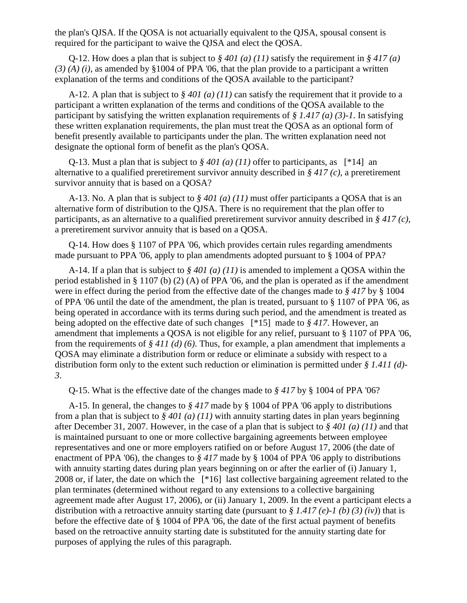the plan's QJSA. If the QOSA is not actuarially equivalent to the QJSA, spousal consent is required for the participant to waive the QJSA and elect the QOSA.

Q-12. How does a plan that is subject to  $\frac{6}{9}$  401 (a) (11) satisfy the requirement in  $\frac{6}{9}$  417 (a) *(3) (A) (i)*, as amended by §1004 of PPA '06, that the plan provide to a participant a written explanation of the terms and conditions of the QOSA available to the participant?

A-12. A plan that is subject to *§ 401 (a) (11)* can satisfy the requirement that it provide to a participant a written explanation of the terms and conditions of the QOSA available to the participant by satisfying the written explanation requirements of *§ 1.417 (a) (3)-1*. In satisfying these written explanation requirements, the plan must treat the QOSA as an optional form of benefit presently available to participants under the plan. The written explanation need not designate the optional form of benefit as the plan's QOSA.

Q-13. Must a plan that is subject to  $\frac{6}{9}$  401 (a) (11) offer to participants, as [\*14] an alternative to a qualified preretirement survivor annuity described in *§ 417 (c)*, a preretirement survivor annuity that is based on a QOSA?

A-13. No. A plan that is subject to *§ 401 (a) (11)* must offer participants a QOSA that is an alternative form of distribution to the QJSA. There is no requirement that the plan offer to participants, as an alternative to a qualified preretirement survivor annuity described in *§ 417 (c)*, a preretirement survivor annuity that is based on a QOSA.

Q-14. How does § 1107 of PPA '06, which provides certain rules regarding amendments made pursuant to PPA '06, apply to plan amendments adopted pursuant to § 1004 of PPA?

A-14. If a plan that is subject to *§ 401 (a) (11)* is amended to implement a QOSA within the period established in § 1107 (b) (2) (A) of PPA '06, and the plan is operated as if the amendment were in effect during the period from the effective date of the changes made to *§ 417* by § 1004 of PPA '06 until the date of the amendment, the plan is treated, pursuant to § 1107 of PPA '06, as being operated in accordance with its terms during such period, and the amendment is treated as being adopted on the effective date of such changes [\*15] made to *§ 417*. However, an amendment that implements a QOSA is not eligible for any relief, pursuant to § 1107 of PPA '06, from the requirements of *§ 411 (d) (6)*. Thus, for example, a plan amendment that implements a QOSA may eliminate a distribution form or reduce or eliminate a subsidy with respect to a distribution form only to the extent such reduction or elimination is permitted under *§ 1.411 (d)- 3*.

Q-15. What is the effective date of the changes made to *§ 417* by § 1004 of PPA '06?

A-15. In general, the changes to *§ 417* made by § 1004 of PPA '06 apply to distributions from a plan that is subject to *§ 401 (a) (11)* with annuity starting dates in plan years beginning after December 31, 2007. However, in the case of a plan that is subject to *§ 401 (a) (11)* and that is maintained pursuant to one or more collective bargaining agreements between employee representatives and one or more employers ratified on or before August 17, 2006 (the date of enactment of PPA '06), the changes to *§ 417* made by § 1004 of PPA '06 apply to distributions with annuity starting dates during plan years beginning on or after the earlier of (i) January 1, 2008 or, if later, the date on which the [\*16] last collective bargaining agreement related to the plan terminates (determined without regard to any extensions to a collective bargaining agreement made after August 17, 2006), or (ii) January 1, 2009. In the event a participant elects a distribution with a retroactive annuity starting date (pursuant to *§ 1.417 (e)-1 (b) (3) (iv)*) that is before the effective date of § 1004 of PPA '06, the date of the first actual payment of benefits based on the retroactive annuity starting date is substituted for the annuity starting date for purposes of applying the rules of this paragraph.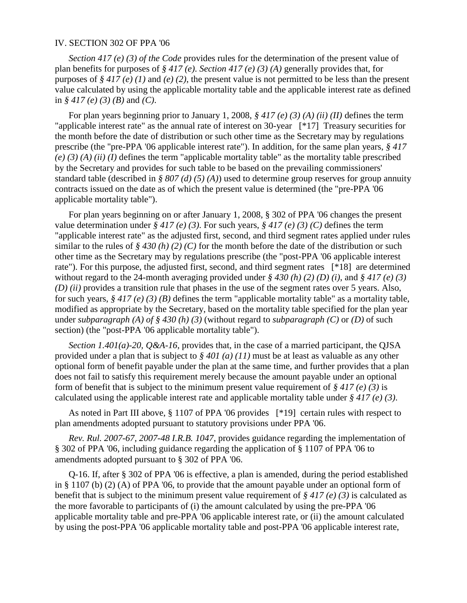#### IV. SECTION 302 OF PPA '06

*Section 417 (e) (3) of the Code* provides rules for the determination of the present value of plan benefits for purposes of *§ 417 (e)*. *Section 417 (e) (3) (A)* generally provides that, for purposes of *§ 417 (e) (1)* and *(e) (2)*, the present value is not permitted to be less than the present value calculated by using the applicable mortality table and the applicable interest rate as defined in *§ 417 (e) (3) (B)* and *(C)*.

For plan years beginning prior to January 1, 2008, *§ 417 (e) (3) (A) (ii) (II)* defines the term "applicable interest rate" as the annual rate of interest on 30-year [\*17] Treasury securities for the month before the date of distribution or such other time as the Secretary may by regulations prescribe (the "pre-PPA '06 applicable interest rate"). In addition, for the same plan years, *§ 417 (e) (3) (A) (ii) (I)* defines the term "applicable mortality table" as the mortality table prescribed by the Secretary and provides for such table to be based on the prevailing commissioners' standard table (described in *§ 807 (d) (5) (A)*) used to determine group reserves for group annuity contracts issued on the date as of which the present value is determined (the "pre-PPA '06 applicable mortality table").

For plan years beginning on or after January 1, 2008, § 302 of PPA '06 changes the present value determination under *§ 417 (e) (3)*. For such years, *§ 417 (e) (3) (C)* defines the term "applicable interest rate" as the adjusted first, second, and third segment rates applied under rules similar to the rules of *§ 430 (h) (2) (C)* for the month before the date of the distribution or such other time as the Secretary may by regulations prescribe (the "post-PPA '06 applicable interest rate"). For this purpose, the adjusted first, second, and third segment rates [\*18] are determined without regard to the 24-month averaging provided under *§ 430 (h) (2) (D) (i)*, and *§ 417 (e) (3) (D) (ii)* provides a transition rule that phases in the use of the segment rates over 5 years. Also, for such years, *§ 417 (e) (3) (B)* defines the term "applicable mortality table" as a mortality table, modified as appropriate by the Secretary, based on the mortality table specified for the plan year under *subparagraph (A) of § 430 (h) (3)* (without regard to *subparagraph (C)* or *(D)* of such section) (the "post-PPA '06 applicable mortality table").

*Section 1.401(a)-20, Q&A-16*, provides that, in the case of a married participant, the QJSA provided under a plan that is subject to *§ 401 (a) (11)* must be at least as valuable as any other optional form of benefit payable under the plan at the same time, and further provides that a plan does not fail to satisfy this requirement merely because the amount payable under an optional form of benefit that is subject to the minimum present value requirement of *§ 417 (e) (3)* is calculated using the applicable interest rate and applicable mortality table under *§ 417 (e) (3)*.

As noted in Part III above, § 1107 of PPA '06 provides [\*19] certain rules with respect to plan amendments adopted pursuant to statutory provisions under PPA '06.

*Rev. Rul. 2007-67, 2007-48 I.R.B. 1047*, provides guidance regarding the implementation of § 302 of PPA '06, including guidance regarding the application of § 1107 of PPA '06 to amendments adopted pursuant to § 302 of PPA '06.

Q-16. If, after § 302 of PPA '06 is effective, a plan is amended, during the period established in § 1107 (b) (2) (A) of PPA '06, to provide that the amount payable under an optional form of benefit that is subject to the minimum present value requirement of *§ 417 (e) (3)* is calculated as the more favorable to participants of (i) the amount calculated by using the pre-PPA '06 applicable mortality table and pre-PPA '06 applicable interest rate, or (ii) the amount calculated by using the post-PPA '06 applicable mortality table and post-PPA '06 applicable interest rate,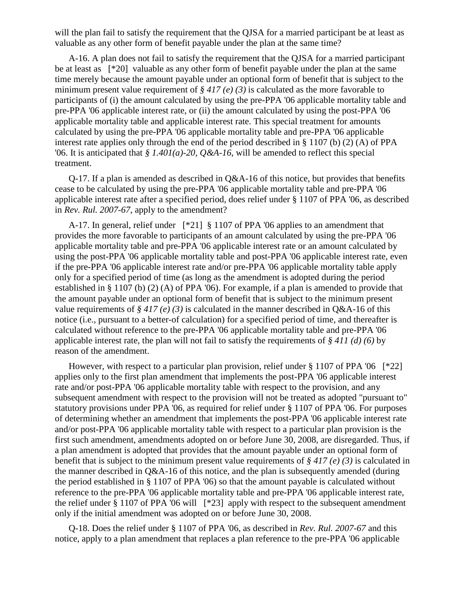will the plan fail to satisfy the requirement that the QJSA for a married participant be at least as valuable as any other form of benefit payable under the plan at the same time?

A-16. A plan does not fail to satisfy the requirement that the QJSA for a married participant be at least as [\*20] valuable as any other form of benefit payable under the plan at the same time merely because the amount payable under an optional form of benefit that is subject to the minimum present value requirement of *§ 417 (e) (3)* is calculated as the more favorable to participants of (i) the amount calculated by using the pre-PPA '06 applicable mortality table and pre-PPA '06 applicable interest rate, or (ii) the amount calculated by using the post-PPA '06 applicable mortality table and applicable interest rate. This special treatment for amounts calculated by using the pre-PPA '06 applicable mortality table and pre-PPA '06 applicable interest rate applies only through the end of the period described in § 1107 (b) (2) (A) of PPA '06. It is anticipated that *§ 1.401(a)-20, Q&A-16*, will be amended to reflect this special treatment.

Q-17. If a plan is amended as described in Q&A-16 of this notice, but provides that benefits cease to be calculated by using the pre-PPA '06 applicable mortality table and pre-PPA '06 applicable interest rate after a specified period, does relief under § 1107 of PPA '06, as described in *Rev. Rul. 2007-67*, apply to the amendment?

A-17. In general, relief under [\*21] § 1107 of PPA '06 applies to an amendment that provides the more favorable to participants of an amount calculated by using the pre-PPA '06 applicable mortality table and pre-PPA '06 applicable interest rate or an amount calculated by using the post-PPA '06 applicable mortality table and post-PPA '06 applicable interest rate, even if the pre-PPA '06 applicable interest rate and/or pre-PPA '06 applicable mortality table apply only for a specified period of time (as long as the amendment is adopted during the period established in § 1107 (b) (2) (A) of PPA '06). For example, if a plan is amended to provide that the amount payable under an optional form of benefit that is subject to the minimum present value requirements of *§ 417 (e) (3)* is calculated in the manner described in Q&A-16 of this notice (i.e., pursuant to a better-of calculation) for a specified period of time, and thereafter is calculated without reference to the pre-PPA '06 applicable mortality table and pre-PPA '06 applicable interest rate, the plan will not fail to satisfy the requirements of *§ 411 (d) (6)* by reason of the amendment.

However, with respect to a particular plan provision, relief under  $\S 1107$  of PPA '06 [\*22] applies only to the first plan amendment that implements the post-PPA '06 applicable interest rate and/or post-PPA '06 applicable mortality table with respect to the provision, and any subsequent amendment with respect to the provision will not be treated as adopted "pursuant to" statutory provisions under PPA '06, as required for relief under § 1107 of PPA '06. For purposes of determining whether an amendment that implements the post-PPA '06 applicable interest rate and/or post-PPA '06 applicable mortality table with respect to a particular plan provision is the first such amendment, amendments adopted on or before June 30, 2008, are disregarded. Thus, if a plan amendment is adopted that provides that the amount payable under an optional form of benefit that is subject to the minimum present value requirements of *§ 417 (e) (3)* is calculated in the manner described in Q&A-16 of this notice, and the plan is subsequently amended (during the period established in § 1107 of PPA '06) so that the amount payable is calculated without reference to the pre-PPA '06 applicable mortality table and pre-PPA '06 applicable interest rate, the relief under § 1107 of PPA '06 will [\*23] apply with respect to the subsequent amendment only if the initial amendment was adopted on or before June 30, 2008.

Q-18. Does the relief under § 1107 of PPA '06, as described in *Rev. Rul. 2007-67* and this notice, apply to a plan amendment that replaces a plan reference to the pre-PPA '06 applicable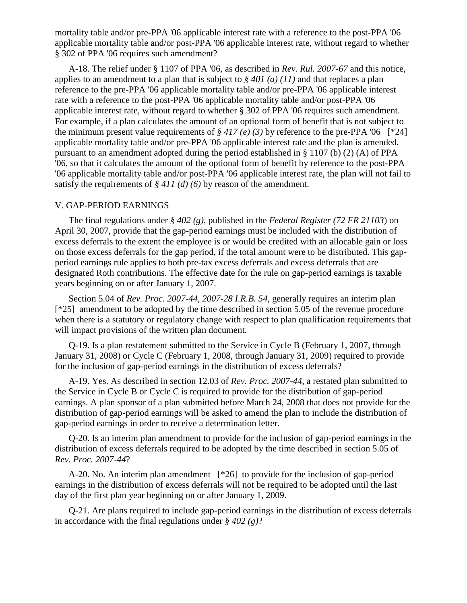mortality table and/or pre-PPA '06 applicable interest rate with a reference to the post-PPA '06 applicable mortality table and/or post-PPA '06 applicable interest rate, without regard to whether § 302 of PPA '06 requires such amendment?

A-18. The relief under § 1107 of PPA '06, as described in *Rev. Rul. 2007-67* and this notice, applies to an amendment to a plan that is subject to *§ 401 (a) (11)* and that replaces a plan reference to the pre-PPA '06 applicable mortality table and/or pre-PPA '06 applicable interest rate with a reference to the post-PPA '06 applicable mortality table and/or post-PPA '06 applicable interest rate, without regard to whether § 302 of PPA '06 requires such amendment. For example, if a plan calculates the amount of an optional form of benefit that is not subject to the minimum present value requirements of  $\frac{2}{3}$  417 (e) (3) by reference to the pre-PPA '06 [\*24] applicable mortality table and/or pre-PPA '06 applicable interest rate and the plan is amended, pursuant to an amendment adopted during the period established in § 1107 (b) (2) (A) of PPA '06, so that it calculates the amount of the optional form of benefit by reference to the post-PPA '06 applicable mortality table and/or post-PPA '06 applicable interest rate, the plan will not fail to satisfy the requirements of *§ 411 (d) (6)* by reason of the amendment.

#### V. GAP-PERIOD EARNINGS

The final regulations under *§ 402 (g)*, published in the *Federal Register (72 FR 21103*) on April 30, 2007, provide that the gap-period earnings must be included with the distribution of excess deferrals to the extent the employee is or would be credited with an allocable gain or loss on those excess deferrals for the gap period, if the total amount were to be distributed. This gapperiod earnings rule applies to both pre-tax excess deferrals and excess deferrals that are designated Roth contributions. The effective date for the rule on gap-period earnings is taxable years beginning on or after January 1, 2007.

Section 5.04 of *Rev. Proc. 2007-44, 2007-28 I.R.B. 54*, generally requires an interim plan [\*25] amendment to be adopted by the time described in section 5.05 of the revenue procedure when there is a statutory or regulatory change with respect to plan qualification requirements that will impact provisions of the written plan document.

Q-19. Is a plan restatement submitted to the Service in Cycle B (February 1, 2007, through January 31, 2008) or Cycle C (February 1, 2008, through January 31, 2009) required to provide for the inclusion of gap-period earnings in the distribution of excess deferrals?

A-19. Yes. As described in section 12.03 of *Rev. Proc. 2007-44*, a restated plan submitted to the Service in Cycle B or Cycle C is required to provide for the distribution of gap-period earnings. A plan sponsor of a plan submitted before March 24, 2008 that does not provide for the distribution of gap-period earnings will be asked to amend the plan to include the distribution of gap-period earnings in order to receive a determination letter.

Q-20. Is an interim plan amendment to provide for the inclusion of gap-period earnings in the distribution of excess deferrals required to be adopted by the time described in section 5.05 of *Rev. Proc. 2007-44*?

A-20. No. An interim plan amendment [\*26] to provide for the inclusion of gap-period earnings in the distribution of excess deferrals will not be required to be adopted until the last day of the first plan year beginning on or after January 1, 2009.

Q-21. Are plans required to include gap-period earnings in the distribution of excess deferrals in accordance with the final regulations under *§ 402 (g)*?